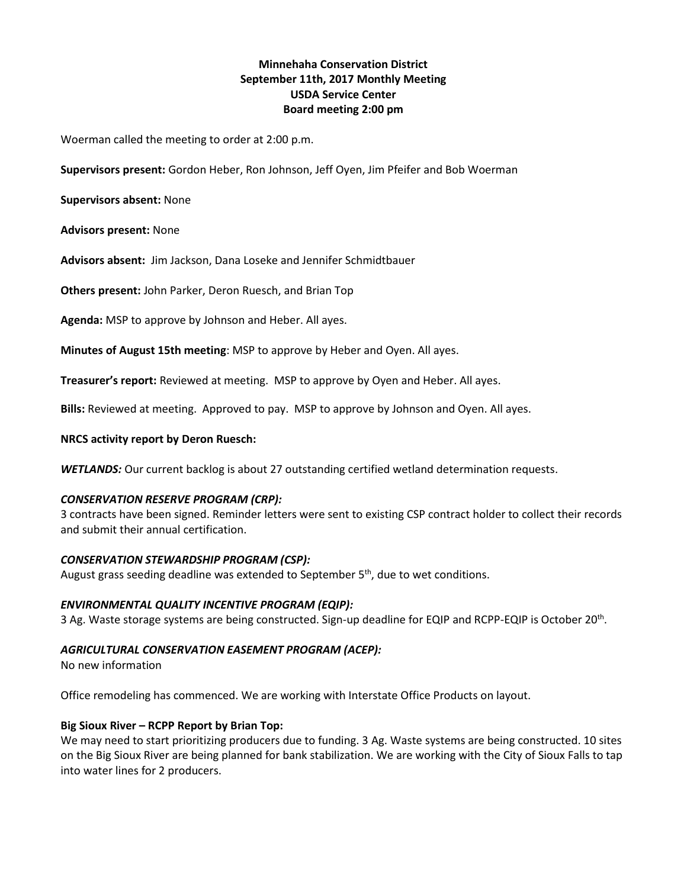# **Minnehaha Conservation District September 11th, 2017 Monthly Meeting USDA Service Center Board meeting 2:00 pm**

Woerman called the meeting to order at 2:00 p.m.

**Supervisors present:** Gordon Heber, Ron Johnson, Jeff Oyen, Jim Pfeifer and Bob Woerman

**Supervisors absent:** None

**Advisors present:** None

**Advisors absent:** Jim Jackson, Dana Loseke and Jennifer Schmidtbauer

**Others present:** John Parker, Deron Ruesch, and Brian Top

**Agenda:** MSP to approve by Johnson and Heber. All ayes.

**Minutes of August 15th meeting**: MSP to approve by Heber and Oyen. All ayes.

**Treasurer's report:** Reviewed at meeting. MSP to approve by Oyen and Heber. All ayes.

**Bills:** Reviewed at meeting. Approved to pay. MSP to approve by Johnson and Oyen. All ayes.

### **NRCS activity report by Deron Ruesch:**

*WETLANDS:* Our current backlog is about 27 outstanding certified wetland determination requests.

#### *CONSERVATION RESERVE PROGRAM (CRP):*

3 contracts have been signed. Reminder letters were sent to existing CSP contract holder to collect their records and submit their annual certification.

#### *CONSERVATION STEWARDSHIP PROGRAM (CSP):*

August grass seeding deadline was extended to September  $5<sup>th</sup>$ , due to wet conditions.

# *ENVIRONMENTAL QUALITY INCENTIVE PROGRAM (EQIP):*

3 Ag. Waste storage systems are being constructed. Sign-up deadline for EQIP and RCPP-EQIP is October 20<sup>th</sup>.

# *AGRICULTURAL CONSERVATION EASEMENT PROGRAM (ACEP):*

No new information

Office remodeling has commenced. We are working with Interstate Office Products on layout.

# **Big Sioux River – RCPP Report by Brian Top:**

We may need to start prioritizing producers due to funding. 3 Ag. Waste systems are being constructed. 10 sites on the Big Sioux River are being planned for bank stabilization. We are working with the City of Sioux Falls to tap into water lines for 2 producers.